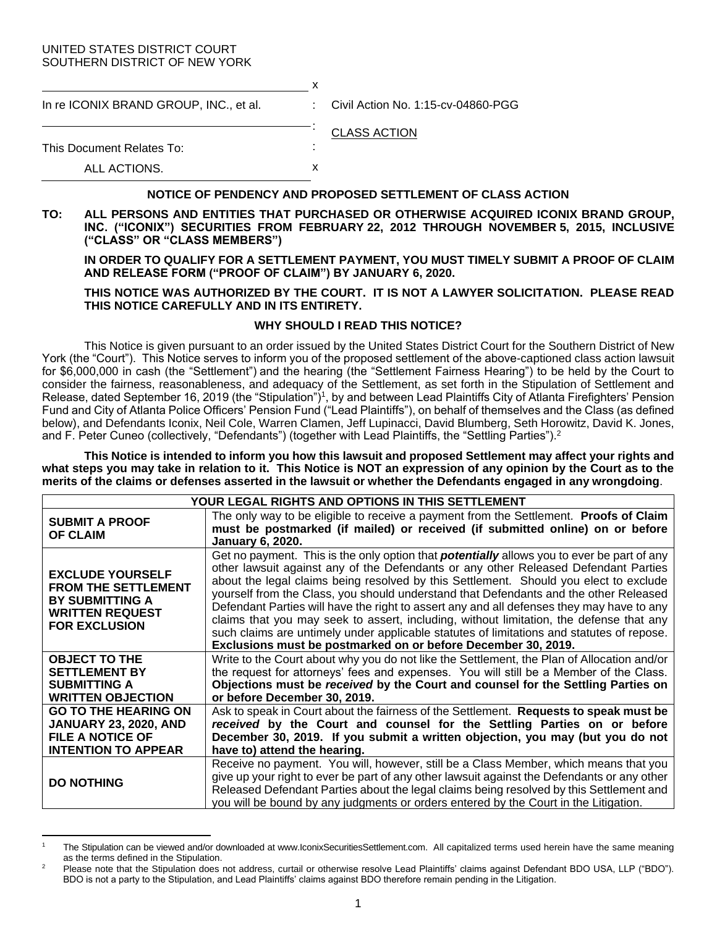#### UNITED STATES DISTRICT COURT SOUTHERN DISTRICT OF NEW YORK

| In re ICONIX BRAND GROUP, INC., et al. |   | : Civil Action No. 1:15-cv-04860-PGG |
|----------------------------------------|---|--------------------------------------|
|                                        |   | <b>CLASS ACTION</b>                  |
| This Document Relates To:              | ٠ |                                      |
| ALL ACTIONS.                           |   |                                      |

### **NOTICE OF PENDENCY AND PROPOSED SETTLEMENT OF CLASS ACTION**

**TO: ALL PERSONS AND ENTITIES THAT PURCHASED OR OTHERWISE ACQUIRED ICONIX BRAND GROUP, INC. ("ICONIX") SECURITIES FROM FEBRUARY 22, 2012 THROUGH NOVEMBER 5, 2015, INCLUSIVE ("CLASS" OR "CLASS MEMBERS")**

**IN ORDER TO QUALIFY FOR A SETTLEMENT PAYMENT, YOU MUST TIMELY SUBMIT A PROOF OF CLAIM AND RELEASE FORM ("PROOF OF CLAIM") BY JANUARY 6, 2020.**

### **THIS NOTICE WAS AUTHORIZED BY THE COURT. IT IS NOT A LAWYER SOLICITATION. PLEASE READ THIS NOTICE CAREFULLY AND IN ITS ENTIRETY.**

# **WHY SHOULD I READ THIS NOTICE?**

This Notice is given pursuant to an order issued by the United States District Court for the Southern District of New York (the "Court"). This Notice serves to inform you of the proposed settlement of the above-captioned class action lawsuit for \$6,000,000 in cash (the "Settlement") and the hearing (the "Settlement Fairness Hearing") to be held by the Court to consider the fairness, reasonableness, and adequacy of the Settlement, as set forth in the Stipulation of Settlement and Release, dated September 16, 2019 (the "Stipulation")<sup>1</sup>, by and between Lead Plaintiffs City of Atlanta Firefighters' Pension Fund and City of Atlanta Police Officers' Pension Fund ("Lead Plaintiffs"), on behalf of themselves and the Class (as defined below), and Defendants Iconix, Neil Cole, Warren Clamen, Jeff Lupinacci, David Blumberg, Seth Horowitz, David K. Jones, and F. Peter Cuneo (collectively, "Defendants") (together with Lead Plaintiffs, the "Settling Parties").<sup>2</sup>

**This Notice is intended to inform you how this lawsuit and proposed Settlement may affect your rights and what steps you may take in relation to it. This Notice is NOT an expression of any opinion by the Court as to the merits of the claims or defenses asserted in the lawsuit or whether the Defendants engaged in any wrongdoing**.

| YOUR LEGAL RIGHTS AND OPTIONS IN THIS SETTLEMENT                                                                                  |                                                                                                                                                                                                                                                                                                                                                                                                                                                                                                                                                                                                                                                                                                                                  |  |
|-----------------------------------------------------------------------------------------------------------------------------------|----------------------------------------------------------------------------------------------------------------------------------------------------------------------------------------------------------------------------------------------------------------------------------------------------------------------------------------------------------------------------------------------------------------------------------------------------------------------------------------------------------------------------------------------------------------------------------------------------------------------------------------------------------------------------------------------------------------------------------|--|
| <b>SUBMIT A PROOF</b><br><b>OF CLAIM</b>                                                                                          | The only way to be eligible to receive a payment from the Settlement. Proofs of Claim<br>must be postmarked (if mailed) or received (if submitted online) on or before<br><b>January 6, 2020.</b>                                                                                                                                                                                                                                                                                                                                                                                                                                                                                                                                |  |
| <b>EXCLUDE YOURSELF</b><br><b>FROM THE SETTLEMENT</b><br><b>BY SUBMITTING A</b><br><b>WRITTEN REQUEST</b><br><b>FOR EXCLUSION</b> | Get no payment. This is the only option that <b>potentially</b> allows you to ever be part of any<br>other lawsuit against any of the Defendants or any other Released Defendant Parties<br>about the legal claims being resolved by this Settlement. Should you elect to exclude<br>yourself from the Class, you should understand that Defendants and the other Released<br>Defendant Parties will have the right to assert any and all defenses they may have to any<br>claims that you may seek to assert, including, without limitation, the defense that any<br>such claims are untimely under applicable statutes of limitations and statutes of repose.<br>Exclusions must be postmarked on or before December 30, 2019. |  |
| <b>OBJECT TO THE</b><br><b>SETTLEMENT BY</b><br><b>SUBMITTING A</b><br><b>WRITTEN OBJECTION</b>                                   | Write to the Court about why you do not like the Settlement, the Plan of Allocation and/or<br>the request for attorneys' fees and expenses. You will still be a Member of the Class.<br>Objections must be received by the Court and counsel for the Settling Parties on<br>or before December 30, 2019.                                                                                                                                                                                                                                                                                                                                                                                                                         |  |
| <b>GO TO THE HEARING ON</b><br><b>JANUARY 23, 2020, AND</b><br><b>FILE A NOTICE OF</b><br><b>INTENTION TO APPEAR</b>              | Ask to speak in Court about the fairness of the Settlement. Requests to speak must be<br>received by the Court and counsel for the Settling Parties on or before<br>December 30, 2019. If you submit a written objection, you may (but you do not<br>have to) attend the hearing.                                                                                                                                                                                                                                                                                                                                                                                                                                                |  |
| <b>DO NOTHING</b>                                                                                                                 | Receive no payment. You will, however, still be a Class Member, which means that you<br>give up your right to ever be part of any other lawsuit against the Defendants or any other<br>Released Defendant Parties about the legal claims being resolved by this Settlement and<br>you will be bound by any judgments or orders entered by the Court in the Litigation.                                                                                                                                                                                                                                                                                                                                                           |  |

 $\overline{a}$ <sup>1</sup> The Stipulation can be viewed and/or downloaded at www.IconixSecuritiesSettlement.com. All capitalized terms used herein have the same meaning as the terms defined in the Stipulation.

<sup>&</sup>lt;sup>2</sup> Please note that the Stipulation does not address, curtail or otherwise resolve Lead Plaintiffs' claims against Defendant BDO USA, LLP ("BDO"). BDO is not a party to the Stipulation, and Lead Plaintiffs' claims against BDO therefore remain pending in the Litigation.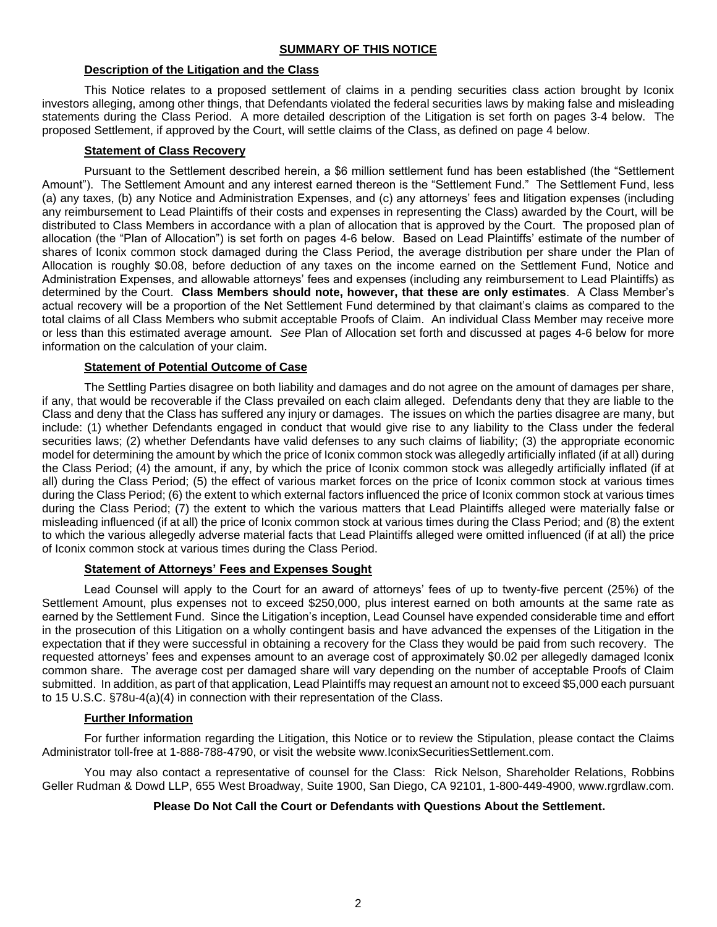## **Description of the Litigation and the Class**

This Notice relates to a proposed settlement of claims in a pending securities class action brought by Iconix investors alleging, among other things, that Defendants violated the federal securities laws by making false and misleading statements during the Class Period. A more detailed description of the Litigation is set forth on pages 3-4 below. The proposed Settlement, if approved by the Court, will settle claims of the Class, as defined on page 4 below.

# **Statement of Class Recovery**

Pursuant to the Settlement described herein, a \$6 million settlement fund has been established (the "Settlement Amount"). The Settlement Amount and any interest earned thereon is the "Settlement Fund." The Settlement Fund, less (a) any taxes, (b) any Notice and Administration Expenses, and (c) any attorneys' fees and litigation expenses (including any reimbursement to Lead Plaintiffs of their costs and expenses in representing the Class) awarded by the Court, will be distributed to Class Members in accordance with a plan of allocation that is approved by the Court. The proposed plan of allocation (the "Plan of Allocation") is set forth on pages 4-6 below. Based on Lead Plaintiffs' estimate of the number of shares of Iconix common stock damaged during the Class Period, the average distribution per share under the Plan of Allocation is roughly \$0.08, before deduction of any taxes on the income earned on the Settlement Fund, Notice and Administration Expenses, and allowable attorneys' fees and expenses (including any reimbursement to Lead Plaintiffs) as determined by the Court. **Class Members should note, however, that these are only estimates**. A Class Member's actual recovery will be a proportion of the Net Settlement Fund determined by that claimant's claims as compared to the total claims of all Class Members who submit acceptable Proofs of Claim. An individual Class Member may receive more or less than this estimated average amount. *See* Plan of Allocation set forth and discussed at pages 4-6 below for more information on the calculation of your claim.

# **Statement of Potential Outcome of Case**

The Settling Parties disagree on both liability and damages and do not agree on the amount of damages per share, if any, that would be recoverable if the Class prevailed on each claim alleged. Defendants deny that they are liable to the Class and deny that the Class has suffered any injury or damages. The issues on which the parties disagree are many, but include: (1) whether Defendants engaged in conduct that would give rise to any liability to the Class under the federal securities laws; (2) whether Defendants have valid defenses to any such claims of liability; (3) the appropriate economic model for determining the amount by which the price of Iconix common stock was allegedly artificially inflated (if at all) during the Class Period; (4) the amount, if any, by which the price of Iconix common stock was allegedly artificially inflated (if at all) during the Class Period; (5) the effect of various market forces on the price of Iconix common stock at various times during the Class Period; (6) the extent to which external factors influenced the price of Iconix common stock at various times during the Class Period; (7) the extent to which the various matters that Lead Plaintiffs alleged were materially false or misleading influenced (if at all) the price of Iconix common stock at various times during the Class Period; and (8) the extent to which the various allegedly adverse material facts that Lead Plaintiffs alleged were omitted influenced (if at all) the price of Iconix common stock at various times during the Class Period.

# **Statement of Attorneys' Fees and Expenses Sought**

Lead Counsel will apply to the Court for an award of attorneys' fees of up to twenty-five percent (25%) of the Settlement Amount, plus expenses not to exceed \$250,000, plus interest earned on both amounts at the same rate as earned by the Settlement Fund. Since the Litigation's inception, Lead Counsel have expended considerable time and effort in the prosecution of this Litigation on a wholly contingent basis and have advanced the expenses of the Litigation in the expectation that if they were successful in obtaining a recovery for the Class they would be paid from such recovery. The requested attorneys' fees and expenses amount to an average cost of approximately \$0.02 per allegedly damaged Iconix common share. The average cost per damaged share will vary depending on the number of acceptable Proofs of Claim submitted. In addition, as part of that application, Lead Plaintiffs may request an amount not to exceed \$5,000 each pursuant to 15 U.S.C. §78u-4(a)(4) in connection with their representation of the Class.

# **Further Information**

For further information regarding the Litigation, this Notice or to review the Stipulation, please contact the Claims Administrator toll-free at 1-888-788-4790, or visit the website www.IconixSecuritiesSettlement.com.

You may also contact a representative of counsel for the Class: Rick Nelson, Shareholder Relations, Robbins Geller Rudman & Dowd LLP, 655 West Broadway, Suite 1900, San Diego, CA 92101, 1-800-449-4900, www.rgrdlaw.com.

## **Please Do Not Call the Court or Defendants with Questions About the Settlement.**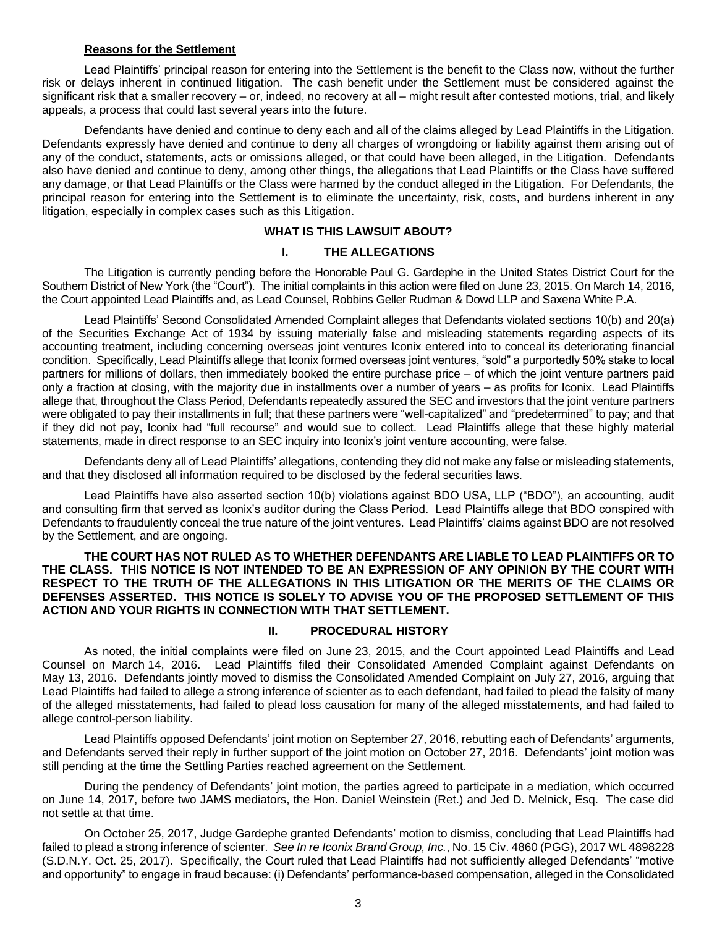#### **Reasons for the Settlement**

Lead Plaintiffs' principal reason for entering into the Settlement is the benefit to the Class now, without the further risk or delays inherent in continued litigation. The cash benefit under the Settlement must be considered against the significant risk that a smaller recovery – or, indeed, no recovery at all – might result after contested motions, trial, and likely appeals, a process that could last several years into the future.

Defendants have denied and continue to deny each and all of the claims alleged by Lead Plaintiffs in the Litigation. Defendants expressly have denied and continue to deny all charges of wrongdoing or liability against them arising out of any of the conduct, statements, acts or omissions alleged, or that could have been alleged, in the Litigation. Defendants also have denied and continue to deny, among other things, the allegations that Lead Plaintiffs or the Class have suffered any damage, or that Lead Plaintiffs or the Class were harmed by the conduct alleged in the Litigation. For Defendants, the principal reason for entering into the Settlement is to eliminate the uncertainty, risk, costs, and burdens inherent in any litigation, especially in complex cases such as this Litigation.

## **WHAT IS THIS LAWSUIT ABOUT?**

#### **I. THE ALLEGATIONS**

The Litigation is currently pending before the Honorable Paul G. Gardephe in the United States District Court for the Southern District of New York (the "Court"). The initial complaints in this action were filed on June 23, 2015. On March 14, 2016, the Court appointed Lead Plaintiffs and, as Lead Counsel, Robbins Geller Rudman & Dowd LLP and Saxena White P.A.

Lead Plaintiffs' Second Consolidated Amended Complaint alleges that Defendants violated sections 10(b) and 20(a) of the Securities Exchange Act of 1934 by issuing materially false and misleading statements regarding aspects of its accounting treatment, including concerning overseas joint ventures Iconix entered into to conceal its deteriorating financial condition. Specifically, Lead Plaintiffs allege that Iconix formed overseas joint ventures, "sold" a purportedly 50% stake to local partners for millions of dollars, then immediately booked the entire purchase price – of which the joint venture partners paid only a fraction at closing, with the majority due in installments over a number of years – as profits for Iconix. Lead Plaintiffs allege that, throughout the Class Period, Defendants repeatedly assured the SEC and investors that the joint venture partners were obligated to pay their installments in full; that these partners were "well-capitalized" and "predetermined" to pay; and that if they did not pay, Iconix had "full recourse" and would sue to collect. Lead Plaintiffs allege that these highly material statements, made in direct response to an SEC inquiry into Iconix's joint venture accounting, were false.

Defendants deny all of Lead Plaintiffs' allegations, contending they did not make any false or misleading statements, and that they disclosed all information required to be disclosed by the federal securities laws.

Lead Plaintiffs have also asserted section 10(b) violations against BDO USA, LLP ("BDO"), an accounting, audit and consulting firm that served as Iconix's auditor during the Class Period. Lead Plaintiffs allege that BDO conspired with Defendants to fraudulently conceal the true nature of the joint ventures. Lead Plaintiffs' claims against BDO are not resolved by the Settlement, and are ongoing.

### **THE COURT HAS NOT RULED AS TO WHETHER DEFENDANTS ARE LIABLE TO LEAD PLAINTIFFS OR TO THE CLASS. THIS NOTICE IS NOT INTENDED TO BE AN EXPRESSION OF ANY OPINION BY THE COURT WITH RESPECT TO THE TRUTH OF THE ALLEGATIONS IN THIS LITIGATION OR THE MERITS OF THE CLAIMS OR DEFENSES ASSERTED. THIS NOTICE IS SOLELY TO ADVISE YOU OF THE PROPOSED SETTLEMENT OF THIS ACTION AND YOUR RIGHTS IN CONNECTION WITH THAT SETTLEMENT.**

### **II. PROCEDURAL HISTORY**

As noted, the initial complaints were filed on June 23, 2015, and the Court appointed Lead Plaintiffs and Lead Counsel on March 14, 2016. Lead Plaintiffs filed their Consolidated Amended Complaint against Defendants on May 13, 2016. Defendants jointly moved to dismiss the Consolidated Amended Complaint on July 27, 2016, arguing that Lead Plaintiffs had failed to allege a strong inference of scienter as to each defendant, had failed to plead the falsity of many of the alleged misstatements, had failed to plead loss causation for many of the alleged misstatements, and had failed to allege control-person liability.

Lead Plaintiffs opposed Defendants' joint motion on September 27, 2016, rebutting each of Defendants' arguments, and Defendants served their reply in further support of the joint motion on October 27, 2016. Defendants' joint motion was still pending at the time the Settling Parties reached agreement on the Settlement.

During the pendency of Defendants' joint motion, the parties agreed to participate in a mediation, which occurred on June 14, 2017, before two JAMS mediators, the Hon. Daniel Weinstein (Ret.) and Jed D. Melnick, Esq. The case did not settle at that time.

On October 25, 2017, Judge Gardephe granted Defendants' motion to dismiss, concluding that Lead Plaintiffs had failed to plead a strong inference of scienter. *See In re Iconix Brand Group, Inc.*, No. 15 Civ. 4860 (PGG), 2017 WL 4898228 (S.D.N.Y. Oct. 25, 2017). Specifically, the Court ruled that Lead Plaintiffs had not sufficiently alleged Defendants' "motive and opportunity" to engage in fraud because: (i) Defendants' performance-based compensation, alleged in the Consolidated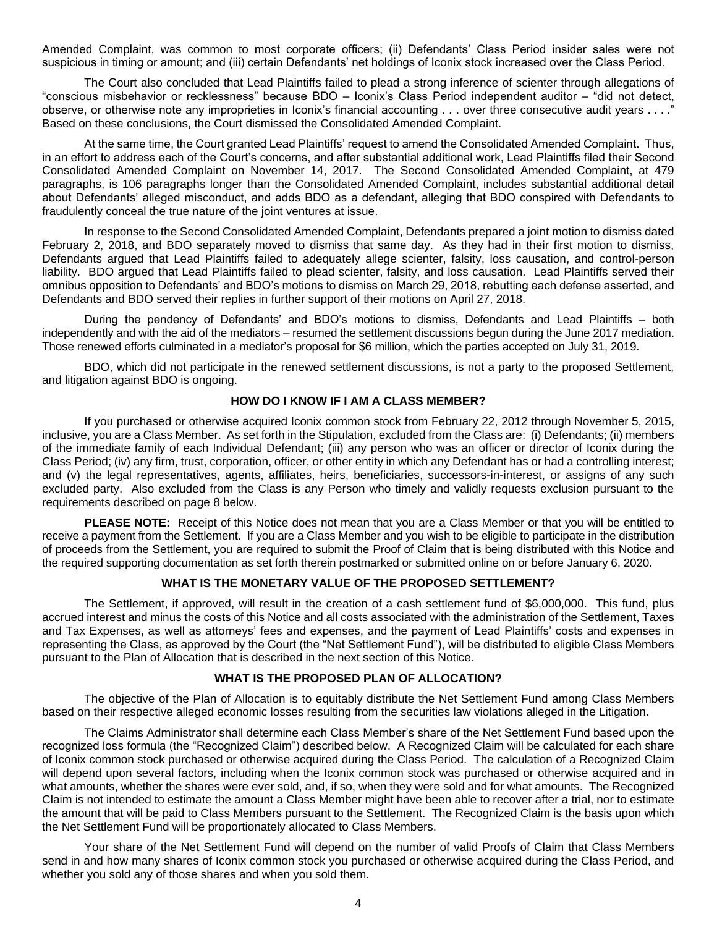Amended Complaint, was common to most corporate officers; (ii) Defendants' Class Period insider sales were not suspicious in timing or amount; and (iii) certain Defendants' net holdings of Iconix stock increased over the Class Period.

The Court also concluded that Lead Plaintiffs failed to plead a strong inference of scienter through allegations of "conscious misbehavior or recklessness" because BDO – Iconix's Class Period independent auditor – "did not detect, observe, or otherwise note any improprieties in Iconix's financial accounting . . . over three consecutive audit years . . . ." Based on these conclusions, the Court dismissed the Consolidated Amended Complaint.

At the same time, the Court granted Lead Plaintiffs' request to amend the Consolidated Amended Complaint. Thus, in an effort to address each of the Court's concerns, and after substantial additional work, Lead Plaintiffs filed their Second Consolidated Amended Complaint on November 14, 2017. The Second Consolidated Amended Complaint, at 479 paragraphs, is 106 paragraphs longer than the Consolidated Amended Complaint, includes substantial additional detail about Defendants' alleged misconduct, and adds BDO as a defendant, alleging that BDO conspired with Defendants to fraudulently conceal the true nature of the joint ventures at issue.

In response to the Second Consolidated Amended Complaint, Defendants prepared a joint motion to dismiss dated February 2, 2018, and BDO separately moved to dismiss that same day. As they had in their first motion to dismiss, Defendants argued that Lead Plaintiffs failed to adequately allege scienter, falsity, loss causation, and control-person liability. BDO argued that Lead Plaintiffs failed to plead scienter, falsity, and loss causation. Lead Plaintiffs served their omnibus opposition to Defendants' and BDO's motions to dismiss on March 29, 2018, rebutting each defense asserted, and Defendants and BDO served their replies in further support of their motions on April 27, 2018.

During the pendency of Defendants' and BDO's motions to dismiss, Defendants and Lead Plaintiffs – both independently and with the aid of the mediators – resumed the settlement discussions begun during the June 2017 mediation. Those renewed efforts culminated in a mediator's proposal for \$6 million, which the parties accepted on July 31, 2019.

BDO, which did not participate in the renewed settlement discussions, is not a party to the proposed Settlement, and litigation against BDO is ongoing.

### **HOW DO I KNOW IF I AM A CLASS MEMBER?**

If you purchased or otherwise acquired Iconix common stock from February 22, 2012 through November 5, 2015, inclusive, you are a Class Member. As set forth in the Stipulation, excluded from the Class are: (i) Defendants; (ii) members of the immediate family of each Individual Defendant; (iii) any person who was an officer or director of Iconix during the Class Period; (iv) any firm, trust, corporation, officer, or other entity in which any Defendant has or had a controlling interest; and (v) the legal representatives, agents, affiliates, heirs, beneficiaries, successors-in-interest, or assigns of any such excluded party. Also excluded from the Class is any Person who timely and validly requests exclusion pursuant to the requirements described on page 8 below.

**PLEASE NOTE:** Receipt of this Notice does not mean that you are a Class Member or that you will be entitled to receive a payment from the Settlement. If you are a Class Member and you wish to be eligible to participate in the distribution of proceeds from the Settlement, you are required to submit the Proof of Claim that is being distributed with this Notice and the required supporting documentation as set forth therein postmarked or submitted online on or before January 6, 2020.

# **WHAT IS THE MONETARY VALUE OF THE PROPOSED SETTLEMENT?**

The Settlement, if approved, will result in the creation of a cash settlement fund of \$6,000,000. This fund, plus accrued interest and minus the costs of this Notice and all costs associated with the administration of the Settlement, Taxes and Tax Expenses, as well as attorneys' fees and expenses, and the payment of Lead Plaintiffs' costs and expenses in representing the Class, as approved by the Court (the "Net Settlement Fund"), will be distributed to eligible Class Members pursuant to the Plan of Allocation that is described in the next section of this Notice.

### **WHAT IS THE PROPOSED PLAN OF ALLOCATION?**

The objective of the Plan of Allocation is to equitably distribute the Net Settlement Fund among Class Members based on their respective alleged economic losses resulting from the securities law violations alleged in the Litigation.

The Claims Administrator shall determine each Class Member's share of the Net Settlement Fund based upon the recognized loss formula (the "Recognized Claim") described below. A Recognized Claim will be calculated for each share of Iconix common stock purchased or otherwise acquired during the Class Period. The calculation of a Recognized Claim will depend upon several factors, including when the Iconix common stock was purchased or otherwise acquired and in what amounts, whether the shares were ever sold, and, if so, when they were sold and for what amounts. The Recognized Claim is not intended to estimate the amount a Class Member might have been able to recover after a trial, nor to estimate the amount that will be paid to Class Members pursuant to the Settlement. The Recognized Claim is the basis upon which the Net Settlement Fund will be proportionately allocated to Class Members.

Your share of the Net Settlement Fund will depend on the number of valid Proofs of Claim that Class Members send in and how many shares of Iconix common stock you purchased or otherwise acquired during the Class Period, and whether you sold any of those shares and when you sold them.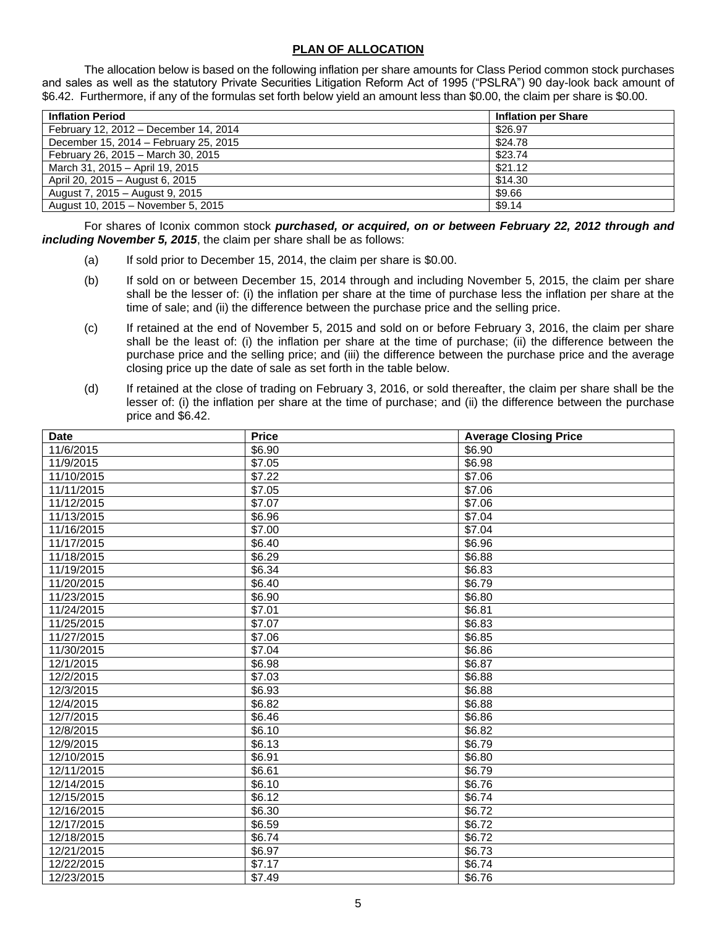## **PLAN OF ALLOCATION**

The allocation below is based on the following inflation per share amounts for Class Period common stock purchases and sales as well as the statutory Private Securities Litigation Reform Act of 1995 ("PSLRA") 90 day-look back amount of \$6.42. Furthermore, if any of the formulas set forth below yield an amount less than \$0.00, the claim per share is \$0.00.

| <b>Inflation Period</b>               | <b>Inflation per Share</b> |
|---------------------------------------|----------------------------|
| February 12, 2012 - December 14, 2014 | \$26.97                    |
| December 15, 2014 – February 25, 2015 | \$24.78                    |
| February 26, 2015 - March 30, 2015    | \$23.74                    |
| March 31, 2015 - April 19, 2015       | \$21.12                    |
| April 20, 2015 - August 6, 2015       | \$14.30                    |
| August 7, 2015 - August 9, 2015       | \$9.66                     |
| August 10, 2015 - November 5, 2015    | \$9.14                     |

For shares of Iconix common stock *purchased, or acquired, on or between February 22, 2012 through and including November 5, 2015*, the claim per share shall be as follows:

- (a) If sold prior to December 15, 2014, the claim per share is \$0.00.
- (b) If sold on or between December 15, 2014 through and including November 5, 2015, the claim per share shall be the lesser of: (i) the inflation per share at the time of purchase less the inflation per share at the time of sale; and (ii) the difference between the purchase price and the selling price.
- (c) If retained at the end of November 5, 2015 and sold on or before February 3, 2016, the claim per share shall be the least of: (i) the inflation per share at the time of purchase; (ii) the difference between the purchase price and the selling price; and (iii) the difference between the purchase price and the average closing price up the date of sale as set forth in the table below.
- (d) If retained at the close of trading on February 3, 2016, or sold thereafter, the claim per share shall be the lesser of: (i) the inflation per share at the time of purchase; and (ii) the difference between the purchase price and \$6.42.

| <b>Date</b> | <b>Price</b>       | <b>Average Closing Price</b> |
|-------------|--------------------|------------------------------|
| 11/6/2015   | \$6.90             | \$6.90                       |
| 11/9/2015   | \$7.05             | \$6.98                       |
| 11/10/2015  | \$7.22             | \$7.06                       |
| 11/11/2015  | \$7.05             | $\frac{1}{27.06}$            |
| 11/12/2015  | \$7.07             | \$7.06                       |
| 11/13/2015  | \$6.96             | \$7.04                       |
| 11/16/2015  | \$7.00             | \$7.04                       |
| 11/17/2015  | \$6.40             | \$6.96                       |
| 11/18/2015  | \$6.29             | \$6.88                       |
| 11/19/2015  | \$6.34             | \$6.83                       |
| 11/20/2015  | \$6.40             | \$6.79                       |
| 11/23/2015  | \$6.90             | \$6.80                       |
| 11/24/2015  | \$7.01             | \$6.81                       |
| 11/25/2015  | \$7.07             | \$6.83                       |
| 11/27/2015  | \$7.06             | \$6.85                       |
| 11/30/2015  | \$7.04             | \$6.86                       |
| 12/1/2015   | \$6.98             | \$6.87                       |
| 12/2/2015   | \$7.03             | \$6.88                       |
| 12/3/2015   | \$6.93             | \$6.88                       |
| 12/4/2015   | \$6.82             | \$6.88                       |
| 12/7/2015   | \$6.46             | \$6.86                       |
| 12/8/2015   | \$6.10             | \$6.82                       |
| 12/9/2015   | \$6.13             | \$6.79                       |
| 12/10/2015  | \$6.91             | \$6.80                       |
| 12/11/2015  | \$6.61             | \$6.79                       |
| 12/14/2015  | \$6.10             | \$6.76                       |
| 12/15/2015  | \$6.12             | \$6.74                       |
| 12/16/2015  | $\overline{$}6.30$ | \$6.72                       |
| 12/17/2015  | \$6.59             | \$6.72                       |
| 12/18/2015  | \$6.74             | \$6.72                       |
| 12/21/2015  | \$6.97             | \$6.73                       |
| 12/22/2015  | \$7.17             | \$6.74                       |
| 12/23/2015  | \$7.49             | \$6.76                       |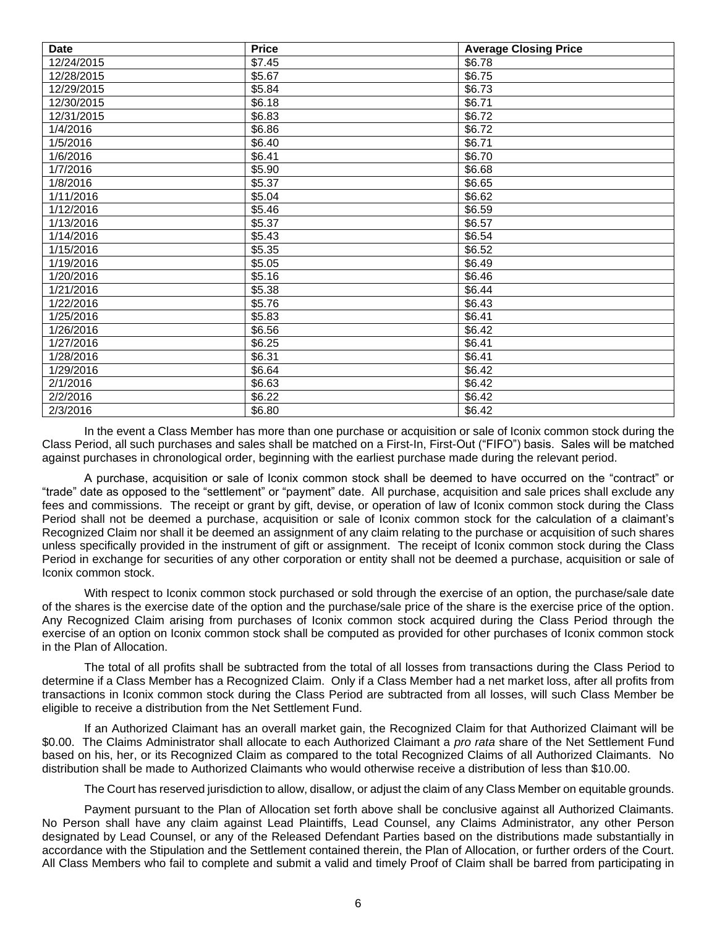| <b>Date</b> | <b>Price</b> | <b>Average Closing Price</b> |
|-------------|--------------|------------------------------|
| 12/24/2015  | \$7.45       | \$6.78                       |
| 12/28/2015  | \$5.67       | \$6.75                       |
| 12/29/2015  | \$5.84       | \$6.73                       |
| 12/30/2015  | \$6.18       | \$6.71                       |
| 12/31/2015  | \$6.83       | $\overline{$}6.72$           |
| 1/4/2016    | \$6.86       | \$6.72                       |
| 1/5/2016    | \$6.40       | \$6.71                       |
| 1/6/2016    | \$6.41       | \$6.70                       |
| 1/7/2016    | \$5.90       | $\overline{$6.68}$           |
| 1/8/2016    | \$5.37       | \$6.65                       |
| 1/11/2016   | \$5.04       | \$6.62                       |
| 1/12/2016   | \$5.46       | \$6.59                       |
| 1/13/2016   | \$5.37       | $\overline{$}6.57$           |
| 1/14/2016   | \$5.43       | \$6.54                       |
| 1/15/2016   | \$5.35       | \$6.52                       |
| 1/19/2016   | \$5.05       | \$6.49                       |
| 1/20/2016   | \$5.16       | \$6.46                       |
| 1/21/2016   | \$5.38       | \$6.44                       |
| 1/22/2016   | \$5.76       | \$6.43                       |
| 1/25/2016   | \$5.83       | \$6.41                       |
| 1/26/2016   | \$6.56       | \$6.42                       |
| 1/27/2016   | \$6.25       | \$6.41                       |
| 1/28/2016   | \$6.31       | \$6.41                       |
| 1/29/2016   | \$6.64       | \$6.42                       |
| 2/1/2016    | \$6.63       | \$6.42                       |
| 2/2/2016    | \$6.22       | \$6.42                       |
| 2/3/2016    | \$6.80       | \$6.42                       |

In the event a Class Member has more than one purchase or acquisition or sale of Iconix common stock during the Class Period, all such purchases and sales shall be matched on a First-In, First-Out ("FIFO") basis. Sales will be matched against purchases in chronological order, beginning with the earliest purchase made during the relevant period.

A purchase, acquisition or sale of Iconix common stock shall be deemed to have occurred on the "contract" or "trade" date as opposed to the "settlement" or "payment" date. All purchase, acquisition and sale prices shall exclude any fees and commissions. The receipt or grant by gift, devise, or operation of law of Iconix common stock during the Class Period shall not be deemed a purchase, acquisition or sale of Iconix common stock for the calculation of a claimant's Recognized Claim nor shall it be deemed an assignment of any claim relating to the purchase or acquisition of such shares unless specifically provided in the instrument of gift or assignment. The receipt of Iconix common stock during the Class Period in exchange for securities of any other corporation or entity shall not be deemed a purchase, acquisition or sale of Iconix common stock.

With respect to Iconix common stock purchased or sold through the exercise of an option, the purchase/sale date of the shares is the exercise date of the option and the purchase/sale price of the share is the exercise price of the option. Any Recognized Claim arising from purchases of Iconix common stock acquired during the Class Period through the exercise of an option on Iconix common stock shall be computed as provided for other purchases of Iconix common stock in the Plan of Allocation.

The total of all profits shall be subtracted from the total of all losses from transactions during the Class Period to determine if a Class Member has a Recognized Claim. Only if a Class Member had a net market loss, after all profits from transactions in Iconix common stock during the Class Period are subtracted from all losses, will such Class Member be eligible to receive a distribution from the Net Settlement Fund.

If an Authorized Claimant has an overall market gain, the Recognized Claim for that Authorized Claimant will be \$0.00. The Claims Administrator shall allocate to each Authorized Claimant a *pro rata* share of the Net Settlement Fund based on his, her, or its Recognized Claim as compared to the total Recognized Claims of all Authorized Claimants. No distribution shall be made to Authorized Claimants who would otherwise receive a distribution of less than \$10.00.

The Court has reserved jurisdiction to allow, disallow, or adjust the claim of any Class Member on equitable grounds.

Payment pursuant to the Plan of Allocation set forth above shall be conclusive against all Authorized Claimants. No Person shall have any claim against Lead Plaintiffs, Lead Counsel, any Claims Administrator, any other Person designated by Lead Counsel, or any of the Released Defendant Parties based on the distributions made substantially in accordance with the Stipulation and the Settlement contained therein, the Plan of Allocation, or further orders of the Court. All Class Members who fail to complete and submit a valid and timely Proof of Claim shall be barred from participating in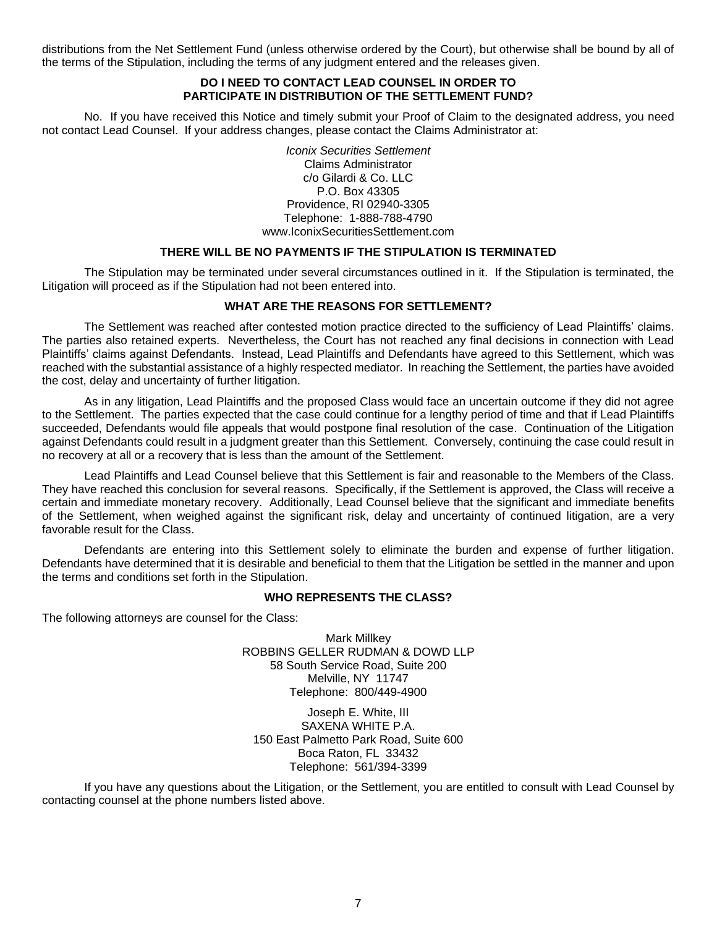distributions from the Net Settlement Fund (unless otherwise ordered by the Court), but otherwise shall be bound by all of the terms of the Stipulation, including the terms of any judgment entered and the releases given.

## **DO I NEED TO CONTACT LEAD COUNSEL IN ORDER TO PARTICIPATE IN DISTRIBUTION OF THE SETTLEMENT FUND?**

No. If you have received this Notice and timely submit your Proof of Claim to the designated address, you need not contact Lead Counsel. If your address changes, please contact the Claims Administrator at:

> *Iconix Securities Settlement* Claims Administrator c/o Gilardi & Co. LLC P.O. Box 43305 Providence, RI 02940-3305 Telephone: 1-888-788-4790 www.IconixSecuritiesSettlement.com

### **THERE WILL BE NO PAYMENTS IF THE STIPULATION IS TERMINATED**

The Stipulation may be terminated under several circumstances outlined in it. If the Stipulation is terminated, the Litigation will proceed as if the Stipulation had not been entered into.

#### **WHAT ARE THE REASONS FOR SETTLEMENT?**

The Settlement was reached after contested motion practice directed to the sufficiency of Lead Plaintiffs' claims. The parties also retained experts. Nevertheless, the Court has not reached any final decisions in connection with Lead Plaintiffs' claims against Defendants. Instead, Lead Plaintiffs and Defendants have agreed to this Settlement, which was reached with the substantial assistance of a highly respected mediator. In reaching the Settlement, the parties have avoided the cost, delay and uncertainty of further litigation.

As in any litigation, Lead Plaintiffs and the proposed Class would face an uncertain outcome if they did not agree to the Settlement. The parties expected that the case could continue for a lengthy period of time and that if Lead Plaintiffs succeeded, Defendants would file appeals that would postpone final resolution of the case. Continuation of the Litigation against Defendants could result in a judgment greater than this Settlement. Conversely, continuing the case could result in no recovery at all or a recovery that is less than the amount of the Settlement.

Lead Plaintiffs and Lead Counsel believe that this Settlement is fair and reasonable to the Members of the Class. They have reached this conclusion for several reasons. Specifically, if the Settlement is approved, the Class will receive a certain and immediate monetary recovery. Additionally, Lead Counsel believe that the significant and immediate benefits of the Settlement, when weighed against the significant risk, delay and uncertainty of continued litigation, are a very favorable result for the Class.

Defendants are entering into this Settlement solely to eliminate the burden and expense of further litigation. Defendants have determined that it is desirable and beneficial to them that the Litigation be settled in the manner and upon the terms and conditions set forth in the Stipulation.

#### **WHO REPRESENTS THE CLASS?**

The following attorneys are counsel for the Class:

Mark Millkey ROBBINS GELLER RUDMAN & DOWD LLP 58 South Service Road, Suite 200 Melville, NY 11747 Telephone: 800/449-4900

Joseph E. White, III SAXENA WHITE P.A. 150 East Palmetto Park Road, Suite 600 Boca Raton, FL 33432 Telephone: 561/394-3399

If you have any questions about the Litigation, or the Settlement, you are entitled to consult with Lead Counsel by contacting counsel at the phone numbers listed above.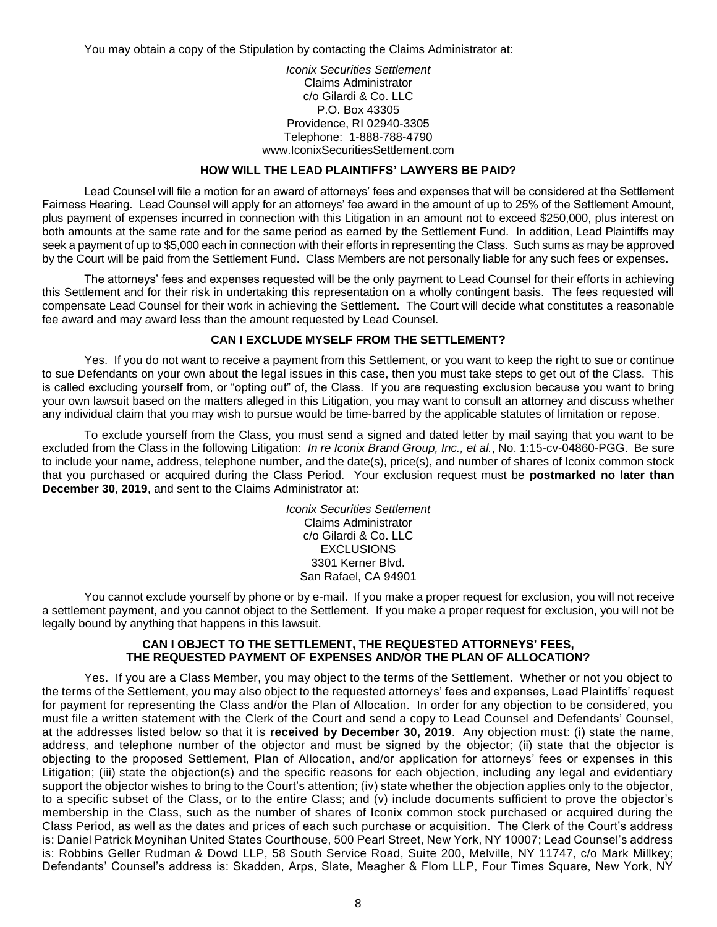You may obtain a copy of the Stipulation by contacting the Claims Administrator at:

#### *Iconix Securities Settlement* Claims Administrator c/o Gilardi & Co. LLC P.O. Box 43305 Providence, RI 02940-3305 Telephone: 1-888-788-4790 www.IconixSecuritiesSettlement.com

#### **HOW WILL THE LEAD PLAINTIFFS' LAWYERS BE PAID?**

Lead Counsel will file a motion for an award of attorneys' fees and expenses that will be considered at the Settlement Fairness Hearing. Lead Counsel will apply for an attorneys' fee award in the amount of up to 25% of the Settlement Amount, plus payment of expenses incurred in connection with this Litigation in an amount not to exceed \$250,000, plus interest on both amounts at the same rate and for the same period as earned by the Settlement Fund. In addition, Lead Plaintiffs may seek a payment of up to \$5,000 each in connection with their efforts in representing the Class. Such sums as may be approved by the Court will be paid from the Settlement Fund. Class Members are not personally liable for any such fees or expenses.

The attorneys' fees and expenses requested will be the only payment to Lead Counsel for their efforts in achieving this Settlement and for their risk in undertaking this representation on a wholly contingent basis. The fees requested will compensate Lead Counsel for their work in achieving the Settlement. The Court will decide what constitutes a reasonable fee award and may award less than the amount requested by Lead Counsel.

### **CAN I EXCLUDE MYSELF FROM THE SETTLEMENT?**

Yes. If you do not want to receive a payment from this Settlement, or you want to keep the right to sue or continue to sue Defendants on your own about the legal issues in this case, then you must take steps to get out of the Class. This is called excluding yourself from, or "opting out" of, the Class. If you are requesting exclusion because you want to bring your own lawsuit based on the matters alleged in this Litigation, you may want to consult an attorney and discuss whether any individual claim that you may wish to pursue would be time-barred by the applicable statutes of limitation or repose.

To exclude yourself from the Class, you must send a signed and dated letter by mail saying that you want to be excluded from the Class in the following Litigation: *In re Iconix Brand Group, Inc., et al.*, No. 1:15-cv-04860-PGG. Be sure to include your name, address, telephone number, and the date(s), price(s), and number of shares of Iconix common stock that you purchased or acquired during the Class Period. Your exclusion request must be **postmarked no later than December 30, 2019**, and sent to the Claims Administrator at:

> *Iconix Securities Settlement* Claims Administrator c/o Gilardi & Co. LLC EXCLUSIONS 3301 Kerner Blvd. San Rafael, CA 94901

You cannot exclude yourself by phone or by e-mail. If you make a proper request for exclusion, you will not receive a settlement payment, and you cannot object to the Settlement. If you make a proper request for exclusion, you will not be legally bound by anything that happens in this lawsuit.

### **CAN I OBJECT TO THE SETTLEMENT, THE REQUESTED ATTORNEYS' FEES, THE REQUESTED PAYMENT OF EXPENSES AND/OR THE PLAN OF ALLOCATION?**

Yes. If you are a Class Member, you may object to the terms of the Settlement. Whether or not you object to the terms of the Settlement, you may also object to the requested attorneys' fees and expenses, Lead Plaintiffs' request for payment for representing the Class and/or the Plan of Allocation. In order for any objection to be considered, you must file a written statement with the Clerk of the Court and send a copy to Lead Counsel and Defendants' Counsel, at the addresses listed below so that it is **received by December 30, 2019**. Any objection must: (i) state the name, address, and telephone number of the objector and must be signed by the objector; (ii) state that the objector is objecting to the proposed Settlement, Plan of Allocation, and/or application for attorneys' fees or expenses in this Litigation; (iii) state the objection(s) and the specific reasons for each objection, including any legal and evidentiary support the objector wishes to bring to the Court's attention; (iv) state whether the objection applies only to the objector, to a specific subset of the Class, or to the entire Class; and (v) include documents sufficient to prove the objector's membership in the Class, such as the number of shares of Iconix common stock purchased or acquired during the Class Period, as well as the dates and prices of each such purchase or acquisition. The Clerk of the Court's address is: Daniel Patrick Moynihan United States Courthouse, 500 Pearl Street, New York, NY 10007; Lead Counsel's address is: Robbins Geller Rudman & Dowd LLP, 58 South Service Road, Suite 200, Melville, NY 11747, c/o Mark Millkey; Defendants' Counsel's address is: Skadden, Arps, Slate, Meagher & Flom LLP, Four Times Square, New York, NY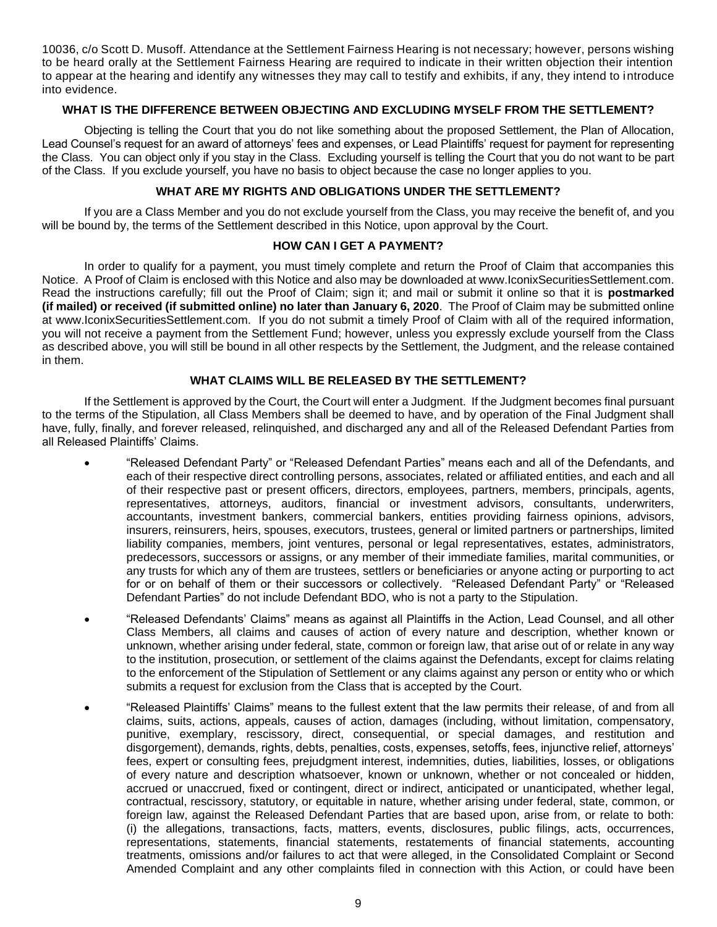10036, c/o Scott D. Musoff. Attendance at the Settlement Fairness Hearing is not necessary; however, persons wishing to be heard orally at the Settlement Fairness Hearing are required to indicate in their written objection their intention to appear at the hearing and identify any witnesses they may call to testify and exhibits, if any, they intend to introduce into evidence.

## **WHAT IS THE DIFFERENCE BETWEEN OBJECTING AND EXCLUDING MYSELF FROM THE SETTLEMENT?**

Objecting is telling the Court that you do not like something about the proposed Settlement, the Plan of Allocation, Lead Counsel's request for an award of attorneys' fees and expenses, or Lead Plaintiffs' request for payment for representing the Class. You can object only if you stay in the Class. Excluding yourself is telling the Court that you do not want to be part of the Class. If you exclude yourself, you have no basis to object because the case no longer applies to you.

### **WHAT ARE MY RIGHTS AND OBLIGATIONS UNDER THE SETTLEMENT?**

If you are a Class Member and you do not exclude yourself from the Class, you may receive the benefit of, and you will be bound by, the terms of the Settlement described in this Notice, upon approval by the Court.

## **HOW CAN I GET A PAYMENT?**

In order to qualify for a payment, you must timely complete and return the Proof of Claim that accompanies this Notice. A Proof of Claim is enclosed with this Notice and also may be downloaded at www.IconixSecuritiesSettlement.com. Read the instructions carefully; fill out the Proof of Claim; sign it; and mail or submit it online so that it is **postmarked (if mailed) or received (if submitted online) no later than January 6, 2020**. The Proof of Claim may be submitted online at www.IconixSecuritiesSettlement.com. If you do not submit a timely Proof of Claim with all of the required information, you will not receive a payment from the Settlement Fund; however, unless you expressly exclude yourself from the Class as described above, you will still be bound in all other respects by the Settlement, the Judgment, and the release contained in them.

## **WHAT CLAIMS WILL BE RELEASED BY THE SETTLEMENT?**

If the Settlement is approved by the Court, the Court will enter a Judgment. If the Judgment becomes final pursuant to the terms of the Stipulation, all Class Members shall be deemed to have, and by operation of the Final Judgment shall have, fully, finally, and forever released, relinquished, and discharged any and all of the Released Defendant Parties from all Released Plaintiffs' Claims.

- "Released Defendant Party" or "Released Defendant Parties" means each and all of the Defendants, and each of their respective direct controlling persons, associates, related or affiliated entities, and each and all of their respective past or present officers, directors, employees, partners, members, principals, agents, representatives, attorneys, auditors, financial or investment advisors, consultants, underwriters, accountants, investment bankers, commercial bankers, entities providing fairness opinions, advisors, insurers, reinsurers, heirs, spouses, executors, trustees, general or limited partners or partnerships, limited liability companies, members, joint ventures, personal or legal representatives, estates, administrators, predecessors, successors or assigns, or any member of their immediate families, marital communities, or any trusts for which any of them are trustees, settlers or beneficiaries or anyone acting or purporting to act for or on behalf of them or their successors or collectively. "Released Defendant Party" or "Released Defendant Parties" do not include Defendant BDO, who is not a party to the Stipulation.
- "Released Defendants' Claims" means as against all Plaintiffs in the Action, Lead Counsel, and all other Class Members, all claims and causes of action of every nature and description, whether known or unknown, whether arising under federal, state, common or foreign law, that arise out of or relate in any way to the institution, prosecution, or settlement of the claims against the Defendants, except for claims relating to the enforcement of the Stipulation of Settlement or any claims against any person or entity who or which submits a request for exclusion from the Class that is accepted by the Court.
- "Released Plaintiffs' Claims" means to the fullest extent that the law permits their release, of and from all claims, suits, actions, appeals, causes of action, damages (including, without limitation, compensatory, punitive, exemplary, rescissory, direct, consequential, or special damages, and restitution and disgorgement), demands, rights, debts, penalties, costs, expenses, setoffs, fees, injunctive relief, attorneys' fees, expert or consulting fees, prejudgment interest, indemnities, duties, liabilities, losses, or obligations of every nature and description whatsoever, known or unknown, whether or not concealed or hidden, accrued or unaccrued, fixed or contingent, direct or indirect, anticipated or unanticipated, whether legal, contractual, rescissory, statutory, or equitable in nature, whether arising under federal, state, common, or foreign law, against the Released Defendant Parties that are based upon, arise from, or relate to both: (i) the allegations, transactions, facts, matters, events, disclosures, public filings, acts, occurrences, representations, statements, financial statements, restatements of financial statements, accounting treatments, omissions and/or failures to act that were alleged, in the Consolidated Complaint or Second Amended Complaint and any other complaints filed in connection with this Action, or could have been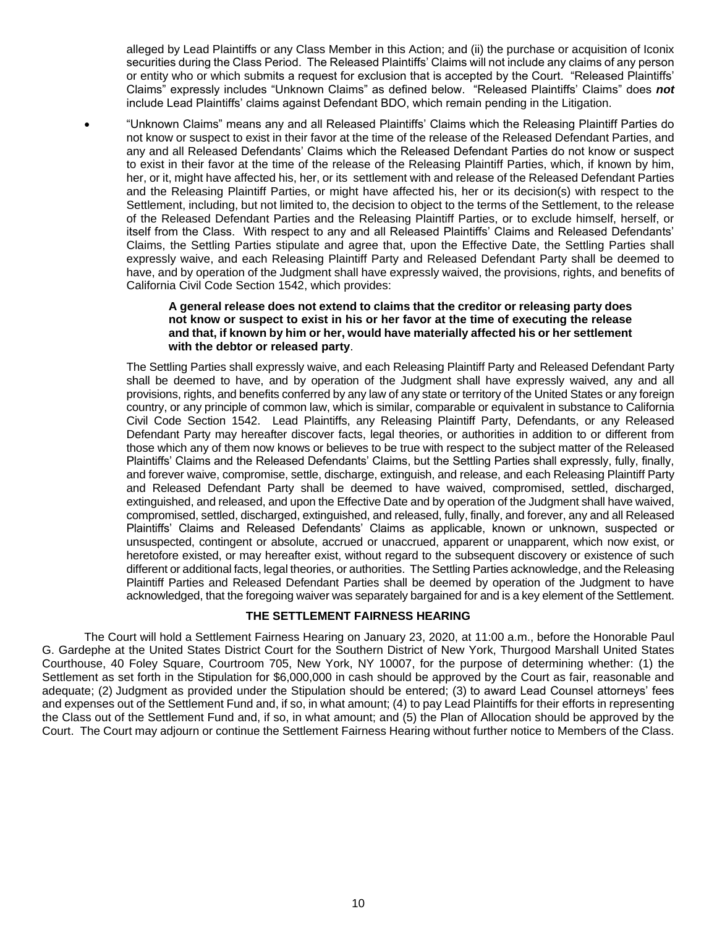alleged by Lead Plaintiffs or any Class Member in this Action; and (ii) the purchase or acquisition of Iconix securities during the Class Period. The Released Plaintiffs' Claims will not include any claims of any person or entity who or which submits a request for exclusion that is accepted by the Court. "Released Plaintiffs' Claims" expressly includes "Unknown Claims" as defined below. "Released Plaintiffs' Claims" does *not* include Lead Plaintiffs' claims against Defendant BDO, which remain pending in the Litigation.

• "Unknown Claims" means any and all Released Plaintiffs' Claims which the Releasing Plaintiff Parties do not know or suspect to exist in their favor at the time of the release of the Released Defendant Parties, and any and all Released Defendants' Claims which the Released Defendant Parties do not know or suspect to exist in their favor at the time of the release of the Releasing Plaintiff Parties, which, if known by him, her, or it, might have affected his, her, or its settlement with and release of the Released Defendant Parties and the Releasing Plaintiff Parties, or might have affected his, her or its decision(s) with respect to the Settlement, including, but not limited to, the decision to object to the terms of the Settlement, to the release of the Released Defendant Parties and the Releasing Plaintiff Parties, or to exclude himself, herself, or itself from the Class. With respect to any and all Released Plaintiffs' Claims and Released Defendants' Claims, the Settling Parties stipulate and agree that, upon the Effective Date, the Settling Parties shall expressly waive, and each Releasing Plaintiff Party and Released Defendant Party shall be deemed to have, and by operation of the Judgment shall have expressly waived, the provisions, rights, and benefits of California Civil Code Section 1542, which provides:

## **A general release does not extend to claims that the creditor or releasing party does not know or suspect to exist in his or her favor at the time of executing the release and that, if known by him or her, would have materially affected his or her settlement with the debtor or released party**.

The Settling Parties shall expressly waive, and each Releasing Plaintiff Party and Released Defendant Party shall be deemed to have, and by operation of the Judgment shall have expressly waived, any and all provisions, rights, and benefits conferred by any law of any state or territory of the United States or any foreign country, or any principle of common law, which is similar, comparable or equivalent in substance to California Civil Code Section 1542. Lead Plaintiffs, any Releasing Plaintiff Party, Defendants, or any Released Defendant Party may hereafter discover facts, legal theories, or authorities in addition to or different from those which any of them now knows or believes to be true with respect to the subject matter of the Released Plaintiffs' Claims and the Released Defendants' Claims, but the Settling Parties shall expressly, fully, finally, and forever waive, compromise, settle, discharge, extinguish, and release, and each Releasing Plaintiff Party and Released Defendant Party shall be deemed to have waived, compromised, settled, discharged, extinguished, and released, and upon the Effective Date and by operation of the Judgment shall have waived, compromised, settled, discharged, extinguished, and released, fully, finally, and forever, any and all Released Plaintiffs' Claims and Released Defendants' Claims as applicable, known or unknown, suspected or unsuspected, contingent or absolute, accrued or unaccrued, apparent or unapparent, which now exist, or heretofore existed, or may hereafter exist, without regard to the subsequent discovery or existence of such different or additional facts, legal theories, or authorities. The Settling Parties acknowledge, and the Releasing Plaintiff Parties and Released Defendant Parties shall be deemed by operation of the Judgment to have acknowledged, that the foregoing waiver was separately bargained for and is a key element of the Settlement.

# **THE SETTLEMENT FAIRNESS HEARING**

The Court will hold a Settlement Fairness Hearing on January 23, 2020, at 11:00 a.m., before the Honorable Paul G. Gardephe at the United States District Court for the Southern District of New York, Thurgood Marshall United States Courthouse, 40 Foley Square, Courtroom 705, New York, NY 10007, for the purpose of determining whether: (1) the Settlement as set forth in the Stipulation for \$6,000,000 in cash should be approved by the Court as fair, reasonable and adequate; (2) Judgment as provided under the Stipulation should be entered; (3) to award Lead Counsel attorneys' fees and expenses out of the Settlement Fund and, if so, in what amount; (4) to pay Lead Plaintiffs for their efforts in representing the Class out of the Settlement Fund and, if so, in what amount; and (5) the Plan of Allocation should be approved by the Court. The Court may adjourn or continue the Settlement Fairness Hearing without further notice to Members of the Class.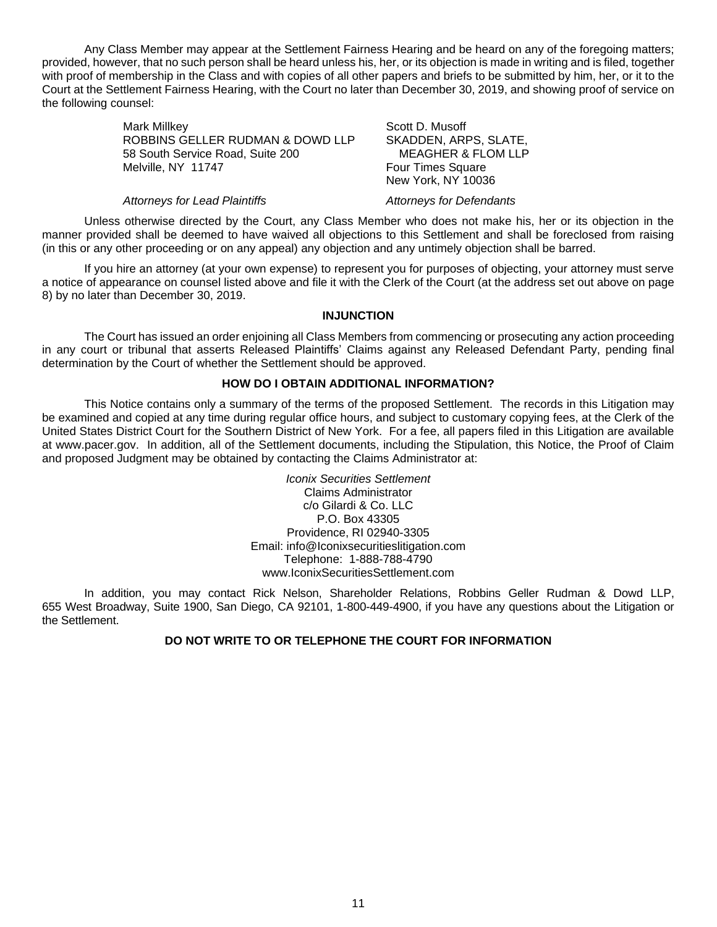Any Class Member may appear at the Settlement Fairness Hearing and be heard on any of the foregoing matters; provided, however, that no such person shall be heard unless his, her, or its objection is made in writing and is filed, together with proof of membership in the Class and with copies of all other papers and briefs to be submitted by him, her, or it to the Court at the Settlement Fairness Hearing, with the Court no later than December 30, 2019, and showing proof of service on the following counsel:

> Mark Millkey ROBBINS GELLER RUDMAN & DOWD LLP 58 South Service Road, Suite 200 Melville, NY 11747

Scott D. Musoff SKADDEN, ARPS, SLATE, MEAGHER & FLOM LLP Four Times Square New York, NY 10036

#### *Attorneys for Lead Plaintiffs Attorneys for Defendants*

Unless otherwise directed by the Court, any Class Member who does not make his, her or its objection in the manner provided shall be deemed to have waived all objections to this Settlement and shall be foreclosed from raising (in this or any other proceeding or on any appeal) any objection and any untimely objection shall be barred.

If you hire an attorney (at your own expense) to represent you for purposes of objecting, your attorney must serve a notice of appearance on counsel listed above and file it with the Clerk of the Court (at the address set out above on page 8) by no later than December 30, 2019.

## **INJUNCTION**

The Court has issued an order enjoining all Class Members from commencing or prosecuting any action proceeding in any court or tribunal that asserts Released Plaintiffs' Claims against any Released Defendant Party, pending final determination by the Court of whether the Settlement should be approved.

### **HOW DO I OBTAIN ADDITIONAL INFORMATION?**

This Notice contains only a summary of the terms of the proposed Settlement. The records in this Litigation may be examined and copied at any time during regular office hours, and subject to customary copying fees, at the Clerk of the United States District Court for the Southern District of New York. For a fee, all papers filed in this Litigation are available at www.pacer.gov. In addition, all of the Settlement documents, including the Stipulation, this Notice, the Proof of Claim and proposed Judgment may be obtained by contacting the Claims Administrator at:

> *Iconix Securities Settlement* Claims Administrator c/o Gilardi & Co. LLC P.O. Box 43305 Providence, RI 02940-3305 Email: info@Iconixsecuritieslitigation.com Telephone: 1-888-788-4790 www.IconixSecuritiesSettlement.com

In addition, you may contact Rick Nelson, Shareholder Relations, Robbins Geller Rudman & Dowd LLP, 655 West Broadway, Suite 1900, San Diego, CA 92101, 1-800-449-4900, if you have any questions about the Litigation or the Settlement.

## **DO NOT WRITE TO OR TELEPHONE THE COURT FOR INFORMATION**